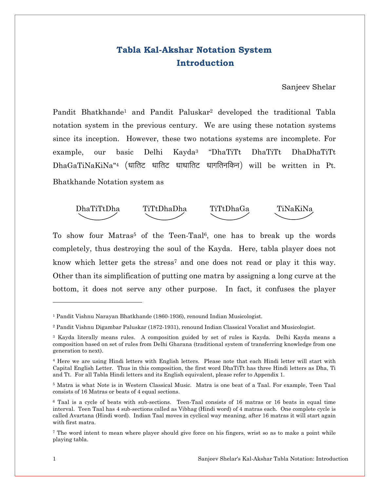## Tabla Kal-Akshar Notation System Introduction

Sanjeev Shelar

Pandit Bhatkhande<sup>1</sup> and Pandit Paluskar<sup>2</sup> developed the traditional Tabla notation system in the previous century. We are using these notation systems since its inception. However, these two notations systems are incomplete. For example, our basic Delhi Kayda3 "DhaTiTt DhaTiTt DhaDhaTiTt DhaGaTiNaKiNa"<sup>4</sup> (धातिट धातिट धाधातिट धागतिनकिन) will be written in Pt. Bhatkhande Notation system as



To show four Matras<sup>5</sup> of the Teen-Taal<sup>6</sup>, one has to break up the words completely, thus destroying the soul of the Kayda. Here, tabla player does not know which letter gets the stress<sup>7</sup> and one does not read or play it this way. Other than its simplification of putting one matra by assigning a long curve at the bottom, it does not serve any other purpose. In fact, it confuses the player

l

<sup>1</sup> Pandit Vishnu Narayan Bhatkhande (1860-1936), renound Indian Musicologist.

<sup>2</sup> Pandit Vishnu Digambar Paluskar (1872-1931), renound Indian Classical Vocalist and Musicologist.

<sup>3</sup> Kayda literally means rules. A composition guided by set of rules is Kayda. Delhi Kayda means a composition based on set of rules from Delhi Gharana (traditional system of transferring knowledge from one generation to next).

<sup>4</sup> Here we are using Hindi letters with English letters. Please note that each Hindi letter will start with Capital English Letter. Thus in this composition, the first word DhaTiTt has three Hindi letters as Dha, Ti and Tt. For all Tabla Hindi letters and its English equivalent, please refer to Appendix 1.

<sup>5</sup> Matra is what Note is in Western Classical Music. Matra is one beat of a Taal. For example, Teen Taal consists of 16 Matras or beats of 4 equal sections.

<sup>&</sup>lt;sup>6</sup> Taal is a cycle of beats with sub-sections. Teen-Taal consists of 16 matras or 16 beats in equal time interval. Teen Taal has 4 sub-sections called as Vibhag (Hindi word) of 4 matras each. One complete cycle is called Avartana (Hindi word). Indian Taal moves in cyclical way meaning, after 16 matras it will start again with first matra.

<sup>7</sup> The word intent to mean where player should give force on his fingers, wrist so as to make a point while playing tabla.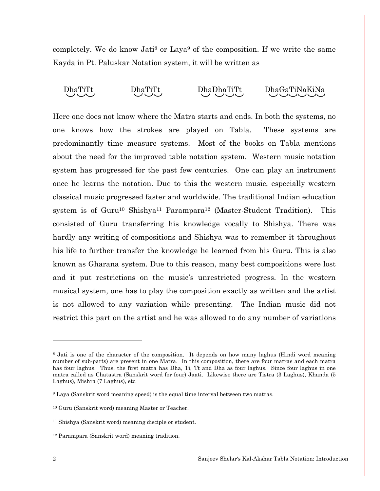completely. We do know Jati<sup>8</sup> or Laya<sup>9</sup> of the composition. If we write the same Kayda in Pt. Paluskar Notation system, it will be written as



Here one does not know where the Matra starts and ends. In both the systems, no one knows how the strokes are played on Tabla. These systems are predominantly time measure systems. Most of the books on Tabla mentions about the need for the improved table notation system. Western music notation system has progressed for the past few centuries. One can play an instrument once he learns the notation. Due to this the western music, especially western classical music progressed faster and worldwide. The traditional Indian education system is of Guru<sup>10</sup> Shishya<sup>11</sup> Parampara<sup>12</sup> (Master-Student Tradition). This consisted of Guru transferring his knowledge vocally to Shishya. There was hardly any writing of compositions and Shishya was to remember it throughout his life to further transfer the knowledge he learned from his Guru. This is also known as Gharana system. Due to this reason, many best compositions were lost and it put restrictions on the music's unrestricted progress. In the western musical system, one has to play the composition exactly as written and the artist is not allowed to any variation while presenting. The Indian music did not restrict this part on the artist and he was allowed to do any number of variations

 $\overline{a}$ 

<sup>&</sup>lt;sup>8</sup> Jati is one of the character of the composition. It depends on how many laghus (Hindi word meaning number of sub-parts) are present in one Matra. In this composition, there are four matras and each matra has four laghus. Thus, the first matra has Dha, Ti, Tt and Dha as four laghus. Since four laghus in one matra called as Chatastra (Sanskrit word for four) Jaati. Likewise there are Tistra (3 Laghus), Khanda (5 Laghus), Mishra (7 Laghus), etc.

<sup>9</sup> Laya (Sanskrit word meaning speed) is the equal time interval between two matras.

<sup>10</sup> Guru (Sanskrit word) meaning Master or Teacher.

<sup>11</sup> Shishya (Sanskrit word) meaning disciple or student.

<sup>12</sup> Parampara (Sanskrit word) meaning tradition.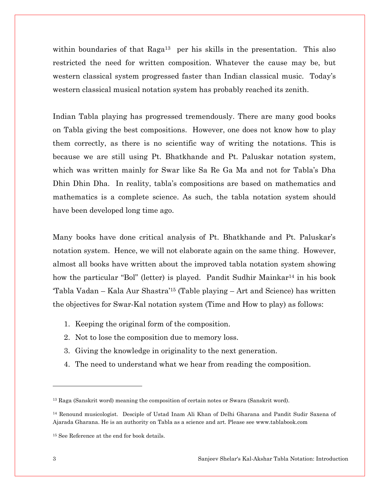within boundaries of that Raga<sup>13</sup> per his skills in the presentation. This also restricted the need for written composition. Whatever the cause may be, but western classical system progressed faster than Indian classical music. Today's western classical musical notation system has probably reached its zenith.

Indian Tabla playing has progressed tremendously. There are many good books on Tabla giving the best compositions. However, one does not know how to play them correctly, as there is no scientific way of writing the notations. This is because we are still using Pt. Bhatkhande and Pt. Paluskar notation system, which was written mainly for Swar like Sa Re Ga Ma and not for Tabla's Dha Dhin Dhin Dha. In reality, tabla's compositions are based on mathematics and mathematics is a complete science. As such, the tabla notation system should have been developed long time ago.

Many books have done critical analysis of Pt. Bhatkhande and Pt. Paluskar's notation system. Hence, we will not elaborate again on the same thing. However, almost all books have written about the improved tabla notation system showing how the particular "Bol" (letter) is played. Pandit Sudhir Mainkar<sup>14</sup> in his book 'Tabla Vadan – Kala Aur Shastra'15 (Table playing – Art and Science) has written the objectives for Swar-Kal notation system (Time and How to play) as follows:

- 1. Keeping the original form of the composition.
- 2. Not to lose the composition due to memory loss.
- 3. Giving the knowledge in originality to the next generation.
- 4. The need to understand what we hear from reading the composition.

l

<sup>13</sup> Raga (Sanskrit word) meaning the composition of certain notes or Swara (Sanskrit word).

<sup>14</sup> Renound musicologist. Desciple of Ustad Inam Ali Khan of Delhi Gharana and Pandit Sudir Saxena of Ajarada Gharana. He is an authority on Tabla as a science and art. Please see www.tablabook.com

<sup>15</sup> See Reference at the end for book details.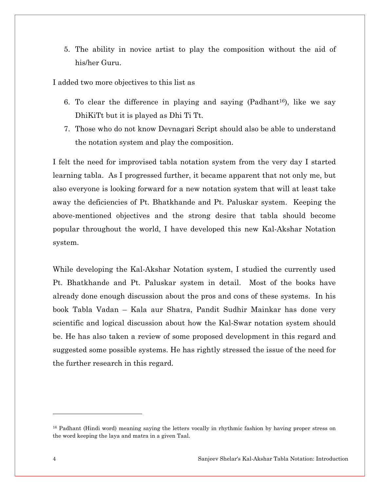5. The ability in novice artist to play the composition without the aid of his/her Guru.

I added two more objectives to this list as

- 6. To clear the difference in playing and saying  $(Padhant<sup>16</sup>)$ , like we say DhiKiTt but it is played as Dhi Ti Tt.
- 7. Those who do not know Devnagari Script should also be able to understand the notation system and play the composition.

I felt the need for improvised tabla notation system from the very day I started learning tabla. As I progressed further, it became apparent that not only me, but also everyone is looking forward for a new notation system that will at least take away the deficiencies of Pt. Bhatkhande and Pt. Paluskar system. Keeping the above-mentioned objectives and the strong desire that tabla should become popular throughout the world, I have developed this new Kal-Akshar Notation system.

While developing the Kal-Akshar Notation system, I studied the currently used Pt. Bhatkhande and Pt. Paluskar system in detail. Most of the books have already done enough discussion about the pros and cons of these systems. In his book Tabla Vadan – Kala aur Shatra, Pandit Sudhir Mainkar has done very scientific and logical discussion about how the Kal-Swar notation system should be. He has also taken a review of some proposed development in this regard and suggested some possible systems. He has rightly stressed the issue of the need for the further research in this regard.

 $\overline{a}$ 

<sup>16</sup> Padhant (Hindi word) meaning saying the letters vocally in rhythmic fashion by having proper stress on the word keeping the laya and matra in a given Taal.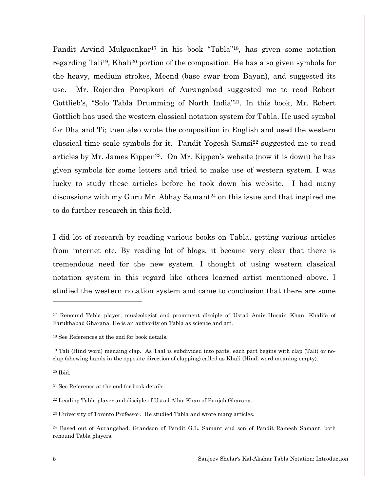Pandit Arvind Mulgaonkar<sup>17</sup> in his book "Tabla"<sup>18</sup>, has given some notation regarding Tali19, Khali20 portion of the composition. He has also given symbols for the heavy, medium strokes, Meend (base swar from Bayan), and suggested its use. Mr. Rajendra Paropkari of Aurangabad suggested me to read Robert Gottlieb's, "Solo Tabla Drumming of North India"21. In this book, Mr. Robert Gottlieb has used the western classical notation system for Tabla. He used symbol for Dha and Ti; then also wrote the composition in English and used the western classical time scale symbols for it. Pandit Yogesh Samsi22 suggested me to read articles by Mr. James Kippen<sup>23</sup>. On Mr. Kippen's website (now it is down) he has given symbols for some letters and tried to make use of western system. I was lucky to study these articles before he took down his website. I had many discussions with my Guru Mr. Abhay Samant<sup>24</sup> on this issue and that inspired me to do further research in this field.

I did lot of research by reading various books on Tabla, getting various articles from internet etc. By reading lot of blogs, it became very clear that there is tremendous need for the new system. I thought of using western classical notation system in this regard like others learned artist mentioned above. I studied the western notation system and came to conclusion that there are some

 $\overline{a}$ 

<sup>17</sup> Renound Tabla player, musicologist and prominent disciple of Ustad Amir Husain Khan, Khalifa of Farukhabad Gharana. He is an authority on Tabla as science and art.

<sup>18</sup> See References at the end for book details.

<sup>19</sup> Tali (Hind word) menaing clap. As Taal is subdivided into parts, each part begins with clap (Tali) or noclap (showing hands in the opposite direction of clapping) called as Khali (Hindi word meaning empty).

<sup>20</sup> Ibid.

<sup>21</sup> See Reference at the end for book details.

<sup>22</sup> Leading Tabla player and disciple of Ustad Allar Khan of Punjab Gharana.

<sup>23</sup> University of Toronto Professor. He studied Tabla and wrote many articles.

<sup>24</sup> Based out of Aurangabad. Grandson of Pandit G.L. Samant and son of Pandit Ramesh Samant, both renound Tabla players.